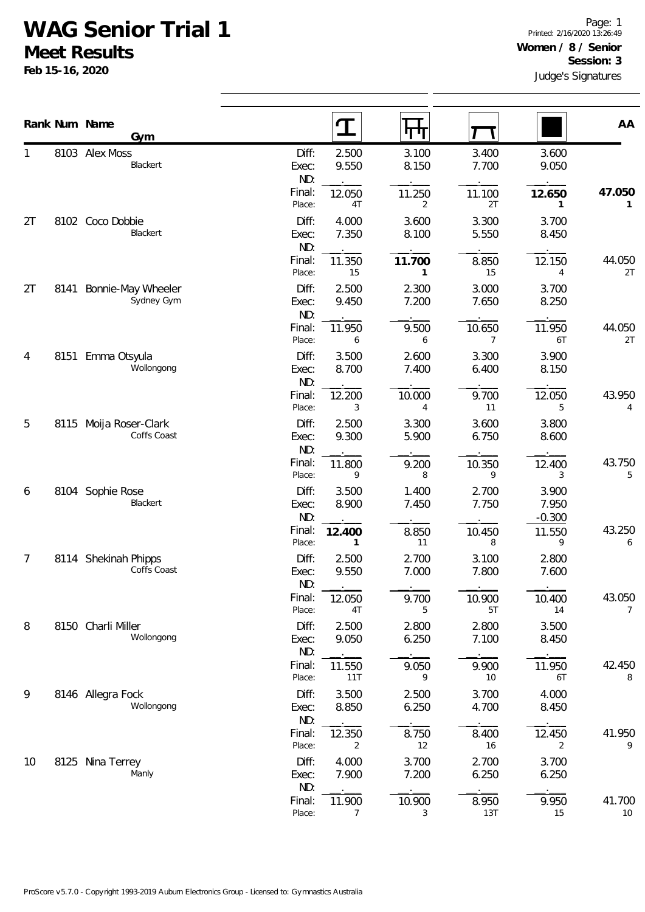## **WAG Senior Trial 1**

**Meet Results**

**Feb 15-16, 2020**

|    |      | Rank Num Name<br>Gym                |                       | $\mathbf T$    | पाग                      |                          |                            | AA           |
|----|------|-------------------------------------|-----------------------|----------------|--------------------------|--------------------------|----------------------------|--------------|
| 1  |      | 8103 Alex Moss<br>Blackert          | Diff:<br>Exec:<br>ND: | 2.500<br>9.550 | 3.100<br>8.150           | 3.400<br>7.700           | 3.600<br>9.050             |              |
|    |      |                                     | Final:<br>Place:      | 12.050<br>4T   | 11.250<br>$\overline{2}$ | 11.100<br>2T             | 12.650<br>1                | 47.050<br>1  |
| 2T |      | 8102 Coco Dobbie<br><b>Blackert</b> | Diff:<br>Exec:<br>ND: | 4.000<br>7.350 | 3.600<br>8.100           | 3.300<br>5.550           | 3.700<br>8.450             |              |
|    |      |                                     | Final:<br>Place:      | 11.350<br>15   | 11.700<br>1              | 8.850<br>15              | 12.150<br>4                | 44.050<br>2T |
| 2T | 8141 | Bonnie-May Wheeler<br>Sydney Gym    | Diff:<br>Exec:<br>ND: | 2.500<br>9.450 | 2.300<br>7.200           | 3.000<br>7.650           | 3.700<br>8.250             |              |
|    |      |                                     | Final:<br>Place:      | 11.950<br>6    | 9.500<br>6               | 10.650<br>$\overline{7}$ | 11.950<br>6T               | 44.050<br>2T |
| 4  |      | 8151 Emma Otsyula<br>Wollongong     | Diff:<br>Exec:<br>ND: | 3.500<br>8.700 | 2.600<br>7.400           | 3.300<br>6.400           | 3.900<br>8.150             |              |
|    |      |                                     | Final:<br>Place:      | 12.200<br>3    | 10.000<br>$\overline{4}$ | 9.700<br>11              | 12.050<br>5                | 43.950<br>4  |
| 5  | 8115 | Moija Roser-Clark<br>Coffs Coast    | Diff:<br>Exec:<br>ND: | 2.500<br>9.300 | 3.300<br>5.900           | 3.600<br>6.750           | 3.800<br>8.600             |              |
|    |      |                                     | Final:<br>Place:      | 11.800<br>9    | 9.200<br>8               | 10.350<br>9              | 12.400<br>3                | 43.750<br>5  |
| 6  |      | 8104 Sophie Rose<br>Blackert        | Diff:<br>Exec:<br>ND: | 3.500<br>8.900 | 1.400<br>7.450           | 2.700<br>7.750           | 3.900<br>7.950<br>$-0.300$ |              |
|    |      |                                     | Final:<br>Place:      | 12.400<br>1    | 8.850<br>$11$            | 10.450<br>8              | 11.550<br>9                | 43.250<br>6  |
| 7  |      | 8114 Shekinah Phipps<br>Coffs Coast | Diff:<br>Exec:<br>ND: | 2.500<br>9.550 | 2.700<br>7.000           | 3.100<br>7.800           | 2.800<br>7.600             |              |
|    |      |                                     | Final:<br>Place:      | 12.050<br>4T   | 9.700<br>5               | 10.900<br>5T             | 10.400<br>14               | 43.050<br>7  |
| 8  |      | 8150 Charli Miller<br>Wollongong    | Diff:<br>Exec:<br>ND: | 2.500<br>9.050 | 2.800<br>6.250           | 2.800<br>7.100           | 3.500<br>8.450             |              |
|    |      |                                     | Final:<br>Place:      | 11.550<br>11T  | 9.050<br>9               | 9.900<br>10              | 11.950<br>6T               | 42.450<br>8  |
| 9  |      | 8146 Allegra Fock<br>Wollongong     | Diff:<br>Exec:<br>ND: | 3.500<br>8.850 | 2.500<br>6.250           | 3.700<br>4.700           | 4.000<br>8.450             |              |
|    |      |                                     | Final:<br>Place:      | 12.350<br>2    | 8.750<br>12              | 8.400<br>16              | 12.450<br>2                | 41.950<br>9  |
| 10 |      | 8125 Nina Terrey<br>Manly           | Diff:<br>Exec:<br>ND: | 4.000<br>7.900 | 3.700<br>7.200           | 2.700<br>6.250           | 3.700<br>6.250             |              |
|    |      |                                     | Final:<br>Place:      | 11.900<br>7    | 10.900<br>3              | 8.950<br>13T             | 9.950<br>15                | 41.700<br>10 |